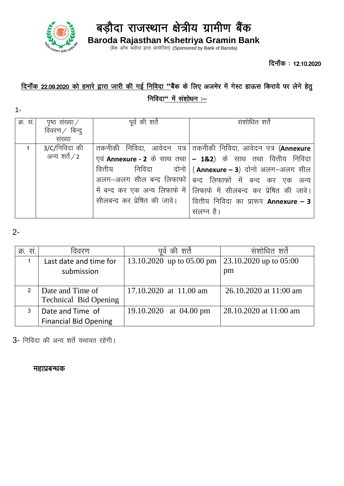

बड़ौदा राजस्थान क्षेत्रीय ग्रामीण बैंक

**Baroda Rajasthan Kshetriya Gramin Bank** (बैंक ऑफ बड़ौदा द्वारा प्रायोजित) (Sponsored by Bank of Baroda)

दिनाँक: 12.10.2020

# दिनाँक 22.09.2020 को हमारे द्वारा जारी की गई निविदा "बैंक के लिए अजमेर में गेस्ट हाऊस किराये पर लेने हेतु निविदा<sup>"</sup> में संशोधन :-

| क्र. सं. | पृष्ठ संख्या $\angle$ | पूर्व की शर्ते | संशोधित शते                                                           |
|----------|-----------------------|----------------|-----------------------------------------------------------------------|
|          | विवरण $/$ बिन्दु      |                |                                                                       |
|          | संख्या                |                |                                                                       |
|          | $3/C/$ निविदा की      |                | त्तकनीकी निविदा, आवेदन पत्र तकनीकी निविदा, आवेदन पत्र (Annexure       |
|          | अन्य शर्ते $/$ 2      |                | एवं Annexure - 2 के साथ तथा   - 1&2) के साथ तथा वित्तीय निविदा        |
|          |                       |                | वित्तीय निविदा दोनो $\vert$ ( Annexure – 3) दोनो अलग-अलग सील          |
|          |                       |                | अलग-अलग सील बन्द लिफाफों   बन्द लिफाफों में बन्द कर एक अन्य           |
|          |                       |                | में बन्द कर एक अन्य लिफाफे में सिफाफे में सीलबन्द कर प्रेषित की जावे। |
|          |                       |                | सीलबन्द कर प्रेषित की जावे।   वित्तीय निविदा का प्रारूप Annexure – 3  |
|          |                       |                | संलग्न है।                                                            |

### 2-

1-

| क्र. स.       | वेवरण                                            | की शर्ते<br>पव             | सशोधित शर्त                  |
|---------------|--------------------------------------------------|----------------------------|------------------------------|
|               | Last date and time for<br>submission             | 13.10.2020 up to 05.00 pm  | 23.10.2020 up to 05:00<br>pm |
| $\mathcal{P}$ | Date and Time of<br><b>Technical Bid Opening</b> | $17.10.2020$ at $11.00$ am | 26.10.2020 at 11:00 am       |
| 3             | Date and Time of<br><b>Financial Bid Opening</b> | 19.10.2020 at 04.00 pm     | 28.10.2020 at 11:00 am       |

3- निविदा की अन्य शर्ते यथावत रहेंगी।

#### महाप्रबन्धक